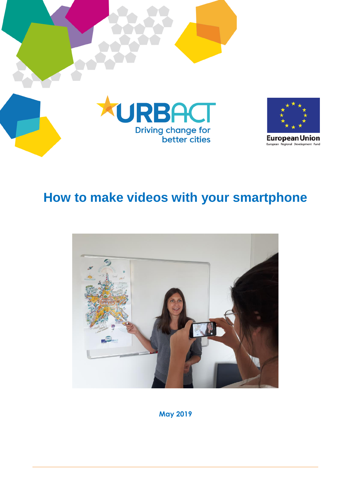



**European Union** European Regional Development Fund

# **How to make videos with your smartphone**



**May 2019**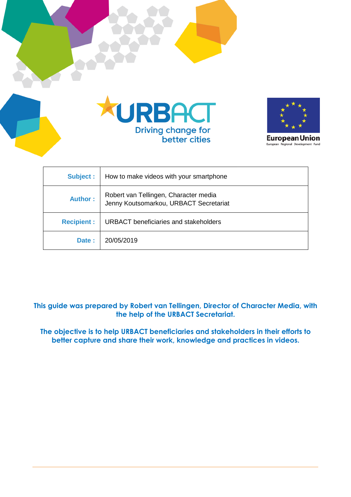



**European Union** European Regional Development Fund

| Subject :         | How to make videos with your smartphone                                         |
|-------------------|---------------------------------------------------------------------------------|
| <b>Author:</b>    | Robert van Tellingen, Character media<br>Jenny Koutsomarkou, URBACT Secretariat |
| <b>Recipient:</b> | <b>URBACT</b> beneficiaries and stakeholders                                    |
| Date:             | 20/05/2019                                                                      |

**This guide was prepared by Robert van Tellingen, Director of Character Media, with the help of the URBACT Secretariat.**

**The objective is to help URBACT beneficiaries and stakeholders in their efforts to better capture and share their work, knowledge and practices in videos.**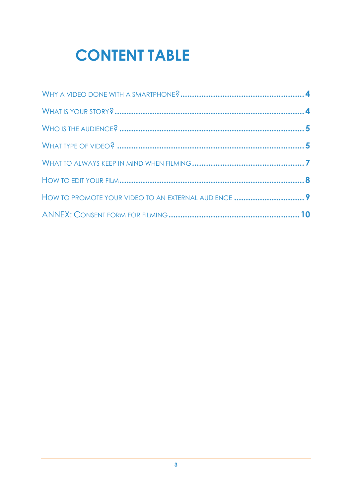# **CONTENT TABLE**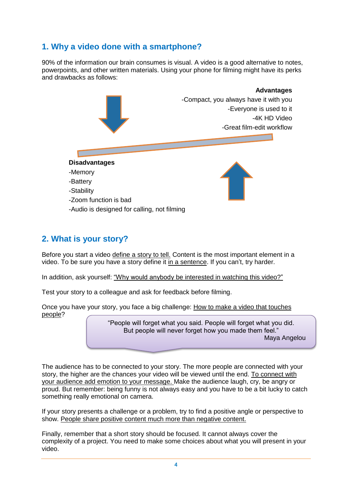## **1. Why a video done with a smartphone?**

90% of the information our brain consumes is visual. A video is a good alternative to notes, powerpoints, and other written materials. Using your phone for filming might have its perks and drawbacks as follows:



## **2. What is your story?**

Before you start a video define a story to tell. Content is the most important element in a video. To be sure you have a story define it in a sentence. If you can't, try harder.

In addition, ask yourself: "Why would anybody be interested in watching this video?"

Test your story to a colleague and ask for feedback before filming.

Once you have your story, you face a big challenge: How to make a video that touches people?

> "People will forget what you said. People will forget what you did. But people will never forget how you made them feel." Maya Angelou

> > ֘֒

The audience has to be connected to your story. The more people are connected with your story, the higher are the chances your video will be viewed until the end. To connect with your audience add emotion to your message. Make the audience laugh, cry, be angry or proud. But remember: being funny is not always easy and you have to be a bit lucky to catch something really emotional on camera.

If your story presents a challenge or a problem, try to find a positive angle or perspective to show. People share positive content much more than negative content.

Finally, remember that a short story should be focused. It cannot always cover the complexity of a project. You need to make some choices about what you will present in your video.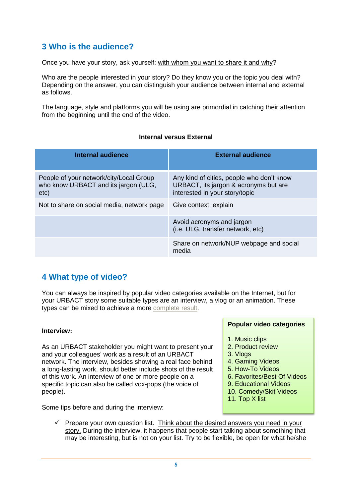## **3 Who is the audience?**

Once you have your story, ask yourself: with whom you want to share it and why?

Who are the people interested in your story? Do they know you or the topic you deal with? Depending on the answer, you can distinguish your audience between internal and external as follows.

The language, style and platforms you will be using are primordial in catching their attention from the beginning until the end of the video.

#### **Internal versus External**

| <b>Internal audience</b>                                                                | <b>External audience</b>                                                                                             |  |  |
|-----------------------------------------------------------------------------------------|----------------------------------------------------------------------------------------------------------------------|--|--|
| People of your network/city/Local Group<br>who know URBACT and its jargon (ULG,<br>etc) | Any kind of cities, people who don't know<br>URBACT, its jargon & acronyms but are<br>interested in your story/topic |  |  |
| Not to share on social media, network page                                              | Give context, explain                                                                                                |  |  |
|                                                                                         | Avoid acronyms and jargon<br>(i.e. ULG, transfer network, etc)                                                       |  |  |
|                                                                                         | Share on network/NUP webpage and social<br>media                                                                     |  |  |

## **4 What type of video?**

You can always be inspired by popular video categories available on the Internet, but for your URBACT story some suitable types are an interview, a vlog or an animation. These types can be mixed to achieve a more [complete](https://www.youtube.com/watch?v=74Q7KEnnFiU&feature=youtu.be) result.

#### **Interview:**

As an URBACT stakeholder you might want to present your and your colleagues' work as a result of an URBACT network. The interview, besides showing a real face behind a long-lasting work, should better include shots of the result of this work. An interview of one or more people on a specific topic can also be called vox-pops (the voice of people).

Some tips before and during the interview:

#### **Popular video categories**

- 1. Music clips
- 2. Product review
- 3. Vlogs
- 4. Gaming Videos
- 5. How-To Videos
- 6. Favorites/Best Of Videos
- 9. Educational Videos
- 10. Comedy/Skit Videos
- 11. Top X list
- $\checkmark$  Prepare your own question list. Think about the desired answers you need in your story. During the interview, it happens that people start talking about something that may be interesting, but is not on your list. Try to be flexible, be open for what he/she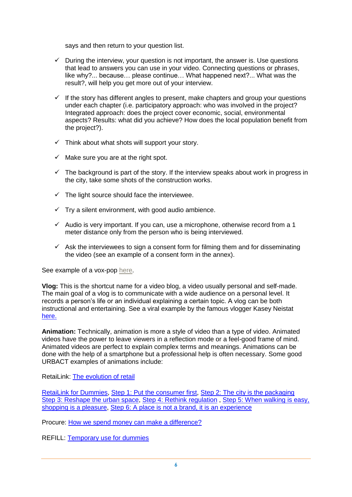says and then return to your question list.

- $\checkmark$  During the interview, your question is not important, the answer is. Use questions that lead to answers you can use in your video. Connecting questions or phrases, like why?... because… please continue… What happened next?... What was the result?, will help you get more out of your interview.
- $\checkmark$  If the story has different angles to present, make chapters and group your questions under each chapter (i.e. participatory approach: who was involved in the project? Integrated approach: does the project cover economic, social, environmental aspects? Results: what did you achieve? How does the local population benefit from the project?).
- $\checkmark$  Think about what shots will support your story.
- $\checkmark$  Make sure you are at the right spot.
- $\checkmark$  The background is part of the story. If the interview speaks about work in progress in the city, take some shots of the construction works.
- $\checkmark$  The light source should face the interviewee.
- $\checkmark$  Try a silent environment, with good audio ambience.
- $\checkmark$  Audio is very important. If you can, use a microphone, otherwise record from a 1 meter distance only from the person who is being interviewed.
- $\checkmark$  Ask the interviewees to sign a consent form for filming them and for disseminating the video (see an example of a consent form in the annex).

See example of a vox-pop [here.](https://www.youtube.com/watch?v=ASOg7iANheo&feature=youtu.be)

**Vlog:** This is the shortcut name for a video blog, a video usually personal and self-made. The main goal of a vlog is to communicate with a wide audience on a personal level. It records a person's life or an individual explaining a certain topic. A vlog can be both instructional and entertaining. See a viral example by the famous vlogger Kasey Neistat [here.](https://www.youtube.com/watch?v=jG7dSXcfVqE)

**Animation:** Technically, animation is more a style of video than a type of video. Animated videos have the power to leave viewers in a reflection mode or a feel-good frame of mind. Animated videos are perfect to explain complex terms and meanings. Animations can be done with the help of a smartphone but a professional help is often necessary. Some good URBACT examples of animations include:

RetaiLink: [The evolution of retail](https://www.youtube.com/watch?v=8dMfXQvJpnw&t=)

[RetaiLink for Dummies,](https://www.youtube.com/watch?v=eSko1xJgtCY&t=39s) [Step 1: Put the consumer first,](https://www.youtube.com/watch?v=1mUec3ZY3Q0) [Step 2: The city is the packaging](https://www.youtube.com/watch?v=vvCC5oOlcUY) [Step 3: Reshape the urban space,](https://www.youtube.com/watch?v=_LObT08vC3A) [Step 4: Rethink regulation](https://www.youtube.com/watch?v=X6r236F57e8), Step 5: When walking is easy, [shopping is a pleasure,](https://www.youtube.com/watch?v=SJs4-a2Wpjs) [Step 6: A place is not a brand, it is an experience](https://www.youtube.com/watch?v=X-Tb-1wzfhQ)

Procure: [How we spend money can make a difference?](https://www.youtube.com/watch?v=Vx4mXbBSsus)

REFILL: [Temporary use for dummies](https://www.youtube.com/watch?v=Z8L2rOccJsU)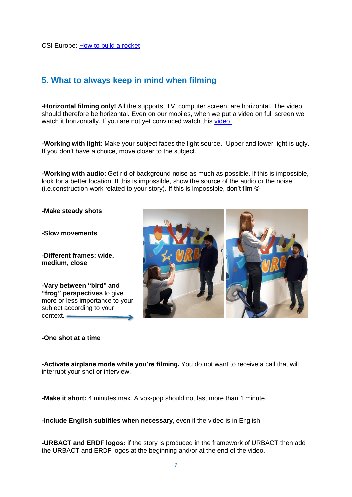## **5. What to always keep in mind when filming**

**-Horizontal filming only!** All the supports, TV, computer screen, are horizontal. The video should therefore be horizontal. Even on our mobiles, when we put a video on full screen we watch it horizontally. If you are not yet convinced watch this [video.](https://www.youtube.com/watch?v=f2picMQC-9E)

**-Working with light:** Make your subject faces the light source. Upper and lower light is ugly. If you don't have a choice, move closer to the subject.

**-Working with audio:** Get rid of background noise as much as possible. If this is impossible, look for a better location. If this is impossible, show the source of the audio or the noise (i.e.construction work related to your story). If this is impossible, don't film  $\odot$ 

**-Make steady shots**

**-Slow movements**

**-Different frames: wide, medium, close**

**-Vary between "bird" and "frog" perspectives** to give more or less importance to your subject according to your context.

#### **-One shot at a time**



**-Activate airplane mode while you're filming.** You do not want to receive a call that will interrupt your shot or interview.

**-Make it short:** 4 minutes max. A vox-pop should not last more than 1 minute.

**-Include English subtitles when necessary**, even if the video is in English

**-URBACT and ERDF logos:** if the story is produced in the framework of URBACT then add the URBACT and ERDF logos at the beginning and/or at the end of the video.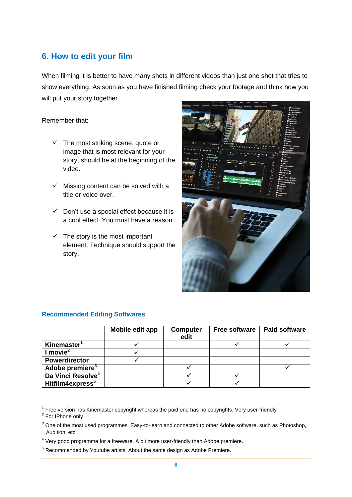## **6. How to edit your film**

When filming it is better to have many shots in different videos than just one shot that tries to show everything. As soon as you have finished filming check your footage and think how you will put your story together.

#### Remember that:

- $\checkmark$  The most striking scene, quote or image that is most relevant for your story, should be at the beginning of the video.
- $\checkmark$  Missing content can be solved with a title or voice over.
- $\checkmark$  Don't use a special effect because it is a cool effect. You must have a reason.
- $\checkmark$  The story is the most important element. Technique should support the story.



|                               | Mobile edit app | <b>Computer</b><br>edit | <b>Free software</b> | <b>Paid software</b> |
|-------------------------------|-----------------|-------------------------|----------------------|----------------------|
| Kinemaster <sup>1</sup>       |                 |                         |                      |                      |
| l movie <sup>2</sup>          |                 |                         |                      |                      |
| <b>Powerdirector</b>          |                 |                         |                      |                      |
| Adobe premiere <sup>3</sup>   |                 |                         |                      |                      |
| Da Vinci Resolve <sup>4</sup> |                 |                         |                      |                      |
| Hitfilm4express <sup>5</sup>  |                 |                         |                      |                      |

#### **Recommended Editing Softwares**

<u>.</u>

 $1$  Free version has Kinemaster copyright whereas the paid one has no copyrights. Very user-friendly

*<sup>2</sup>* For IPhone only

*<sup>3</sup>* One of the most used programmes. Easy-to-learn and connected to other Adobe software, such as Photoshop, Audition, etc.

 $<sup>4</sup>$  Very good programme for a freeware. A bit more user-friendly than Adobe premiere.</sup>

 $<sup>5</sup>$  Recommended by Youtube artists. About the same design as Adobe Premiere.</sup>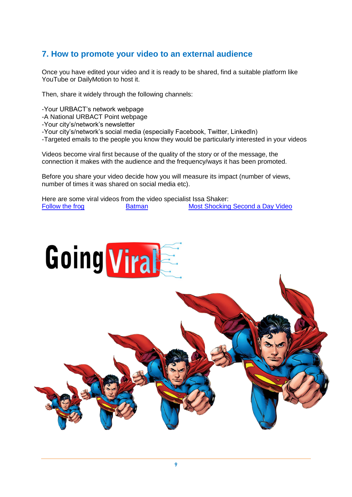## **7. How to promote your video to an external audience**

Once you have edited your video and it is ready to be shared, find a suitable platform like YouTube or DailyMotion to host it.

Then, share it widely through the following channels:

- -Your URBACT's network webpage
- -A National URBACT Point webpage
- -Your city's/network's newsletter
- -Your city's/network's social media (especially Facebook, Twitter, LinkedIn)
- -Targeted emails to the people you know they would be particularly interested in your videos

Videos become viral first because of the quality of the story or of the message, the connection it makes with the audience and the frequency/ways it has been promoted.

Before you share your video decide how you will measure its impact (number of views, number of times it was shared on social media etc).

Here are some viral videos from the video specialist Issa Shaker: [Follow the frog](https://www.youtube.com/watch?v=3iIkOi3srLo) [Batman](https://www.youtube.com/watch?v=PIKewZLeWU8) Batman [Most Shocking Second a Day Video](https://www.youtube.com/watch?v=RBQ-IoHfimQ)